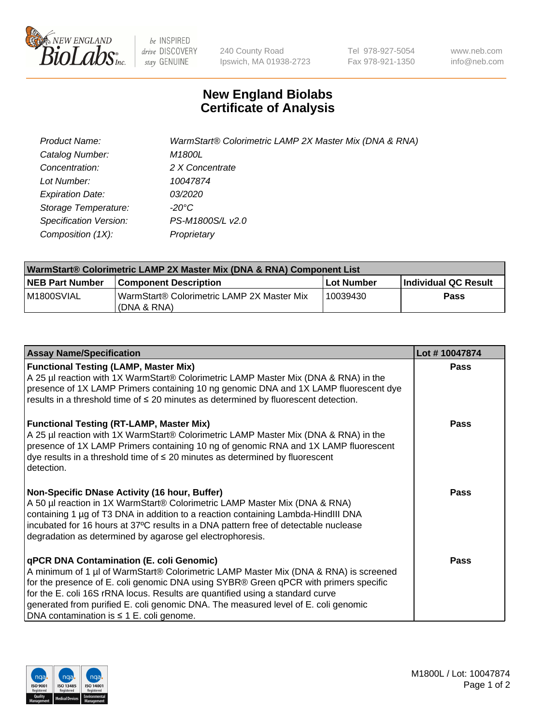

be INSPIRED drive DISCOVERY stay GENUINE

240 County Road Ipswich, MA 01938-2723 Tel 978-927-5054 Fax 978-921-1350 www.neb.com info@neb.com

## **New England Biolabs Certificate of Analysis**

| Product Name:           | WarmStart® Colorimetric LAMP 2X Master Mix (DNA & RNA) |
|-------------------------|--------------------------------------------------------|
| Catalog Number:         | M1800L                                                 |
| Concentration:          | 2 X Concentrate                                        |
| Lot Number:             | 10047874                                               |
| <b>Expiration Date:</b> | <i>03/2020</i>                                         |
| Storage Temperature:    | -20°C                                                  |
| Specification Version:  | PS-M1800S/L v2.0                                       |
| Composition (1X):       | Proprietary                                            |

| WarmStart® Colorimetric LAMP 2X Master Mix (DNA & RNA) Component List |                                                           |            |                      |  |
|-----------------------------------------------------------------------|-----------------------------------------------------------|------------|----------------------|--|
| <b>NEB Part Number</b>                                                | <b>Component Description</b>                              | Lot Number | Individual QC Result |  |
| IM1800SVIAL                                                           | WarmStart® Colorimetric LAMP 2X Master Mix<br>(DNA & RNA) | 10039430   | Pass                 |  |

| <b>Assay Name/Specification</b>                                                                                                                                                                                                                                                                                                                                                                                                                         | Lot #10047874 |
|---------------------------------------------------------------------------------------------------------------------------------------------------------------------------------------------------------------------------------------------------------------------------------------------------------------------------------------------------------------------------------------------------------------------------------------------------------|---------------|
| <b>Functional Testing (LAMP, Master Mix)</b><br>A 25 µl reaction with 1X WarmStart® Colorimetric LAMP Master Mix (DNA & RNA) in the                                                                                                                                                                                                                                                                                                                     | <b>Pass</b>   |
| presence of 1X LAMP Primers containing 10 ng genomic DNA and 1X LAMP fluorescent dye<br>results in a threshold time of $\leq 20$ minutes as determined by fluorescent detection.                                                                                                                                                                                                                                                                        |               |
|                                                                                                                                                                                                                                                                                                                                                                                                                                                         |               |
| <b>Functional Testing (RT-LAMP, Master Mix)</b><br>A 25 µl reaction with 1X WarmStart® Colorimetric LAMP Master Mix (DNA & RNA) in the<br>presence of 1X LAMP Primers containing 10 ng of genomic RNA and 1X LAMP fluorescent<br>$\alpha$ dye results in a threshold time of $\leq$ 20 minutes as determined by fluorescent<br>detection.                                                                                                               | Pass          |
| Non-Specific DNase Activity (16 hour, Buffer)<br>A 50 µl reaction in 1X WarmStart® Colorimetric LAMP Master Mix (DNA & RNA)<br>containing 1 µg of T3 DNA in addition to a reaction containing Lambda-HindIII DNA<br>incubated for 16 hours at 37°C results in a DNA pattern free of detectable nuclease<br>degradation as determined by agarose gel electrophoresis.                                                                                    | Pass          |
| <b>qPCR DNA Contamination (E. coli Genomic)</b><br>A minimum of 1 µl of WarmStart® Colorimetric LAMP Master Mix (DNA & RNA) is screened<br>for the presence of E. coli genomic DNA using SYBR® Green qPCR with primers specific<br>for the E. coli 16S rRNA locus. Results are quantified using a standard curve<br>generated from purified E. coli genomic DNA. The measured level of E. coli genomic<br>DNA contamination is $\leq 1$ E. coli genome. | Pass          |